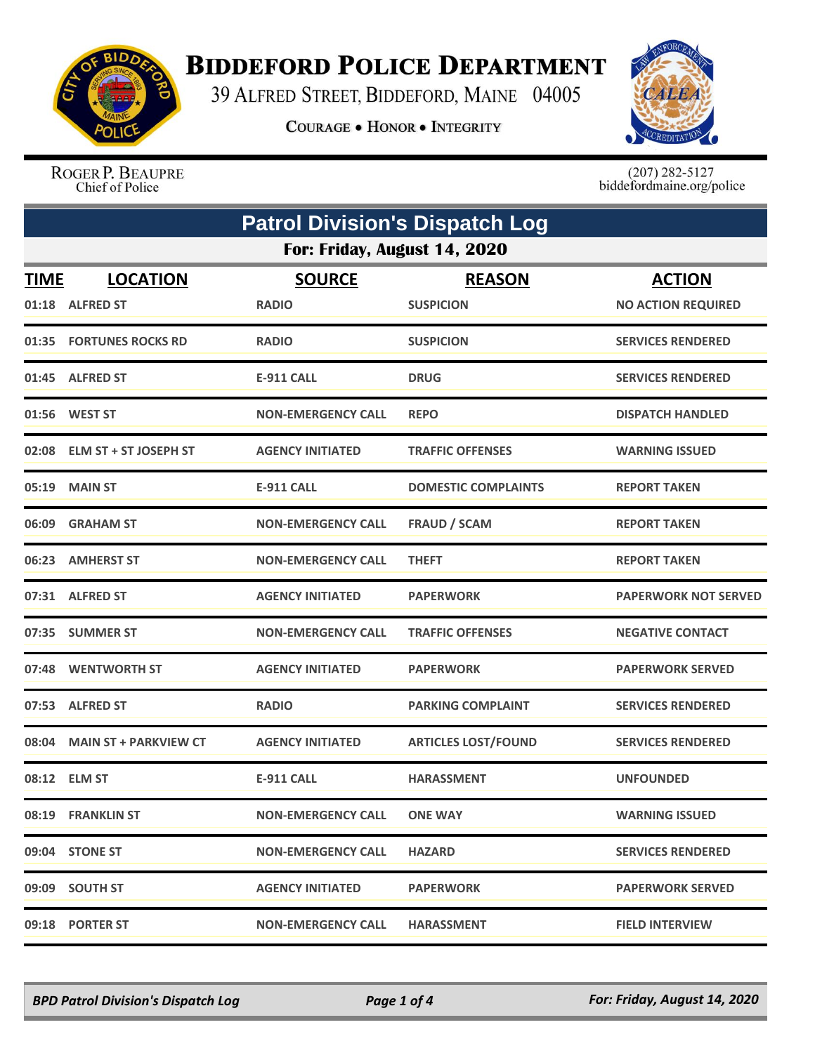

## **BIDDEFORD POLICE DEPARTMENT**

39 ALFRED STREET, BIDDEFORD, MAINE 04005

**COURAGE . HONOR . INTEGRITY** 



ROGER P. BEAUPRE Chief of Police

 $(207)$  282-5127<br>biddefordmaine.org/police

| <b>Patrol Division's Dispatch Log</b> |                                    |                               |                                   |                                            |  |  |
|---------------------------------------|------------------------------------|-------------------------------|-----------------------------------|--------------------------------------------|--|--|
|                                       | For: Friday, August 14, 2020       |                               |                                   |                                            |  |  |
| <b>TIME</b>                           | <b>LOCATION</b><br>01:18 ALFRED ST | <b>SOURCE</b><br><b>RADIO</b> | <b>REASON</b><br><b>SUSPICION</b> | <b>ACTION</b><br><b>NO ACTION REQUIRED</b> |  |  |
|                                       | 01:35 FORTUNES ROCKS RD            | <b>RADIO</b>                  | <b>SUSPICION</b>                  | <b>SERVICES RENDERED</b>                   |  |  |
|                                       | 01:45 ALFRED ST                    | <b>E-911 CALL</b>             | <b>DRUG</b>                       | <b>SERVICES RENDERED</b>                   |  |  |
|                                       | 01:56 WEST ST                      | <b>NON-EMERGENCY CALL</b>     | <b>REPO</b>                       | <b>DISPATCH HANDLED</b>                    |  |  |
| 02:08                                 | <b>ELM ST + ST JOSEPH ST</b>       | <b>AGENCY INITIATED</b>       | <b>TRAFFIC OFFENSES</b>           | <b>WARNING ISSUED</b>                      |  |  |
|                                       | 05:19 MAIN ST                      | E-911 CALL                    | <b>DOMESTIC COMPLAINTS</b>        | <b>REPORT TAKEN</b>                        |  |  |
|                                       | 06:09 GRAHAM ST                    | <b>NON-EMERGENCY CALL</b>     | <b>FRAUD / SCAM</b>               | <b>REPORT TAKEN</b>                        |  |  |
|                                       | 06:23 AMHERST ST                   | <b>NON-EMERGENCY CALL</b>     | <b>THEFT</b>                      | <b>REPORT TAKEN</b>                        |  |  |
|                                       | 07:31 ALFRED ST                    | <b>AGENCY INITIATED</b>       | <b>PAPERWORK</b>                  | <b>PAPERWORK NOT SERVED</b>                |  |  |
|                                       | 07:35 SUMMER ST                    | <b>NON-EMERGENCY CALL</b>     | <b>TRAFFIC OFFENSES</b>           | <b>NEGATIVE CONTACT</b>                    |  |  |
|                                       | 07:48 WENTWORTH ST                 | <b>AGENCY INITIATED</b>       | <b>PAPERWORK</b>                  | <b>PAPERWORK SERVED</b>                    |  |  |
| 07:53                                 | <b>ALFRED ST</b>                   | <b>RADIO</b>                  | <b>PARKING COMPLAINT</b>          | <b>SERVICES RENDERED</b>                   |  |  |
|                                       | 08:04 MAIN ST + PARKVIEW CT        | <b>AGENCY INITIATED</b>       | <b>ARTICLES LOST/FOUND</b>        | <b>SERVICES RENDERED</b>                   |  |  |
|                                       | 08:12 ELM ST                       | <b>E-911 CALL</b>             | <b>HARASSMENT</b>                 | <b>UNFOUNDED</b>                           |  |  |
|                                       | 08:19 FRANKLIN ST                  | <b>NON-EMERGENCY CALL</b>     | <b>ONE WAY</b>                    | <b>WARNING ISSUED</b>                      |  |  |
|                                       | 09:04 STONE ST                     | <b>NON-EMERGENCY CALL</b>     | <b>HAZARD</b>                     | <b>SERVICES RENDERED</b>                   |  |  |
|                                       | 09:09 SOUTH ST                     | <b>AGENCY INITIATED</b>       | <b>PAPERWORK</b>                  | <b>PAPERWORK SERVED</b>                    |  |  |
|                                       | 09:18 PORTER ST                    | <b>NON-EMERGENCY CALL</b>     | <b>HARASSMENT</b>                 | <b>FIELD INTERVIEW</b>                     |  |  |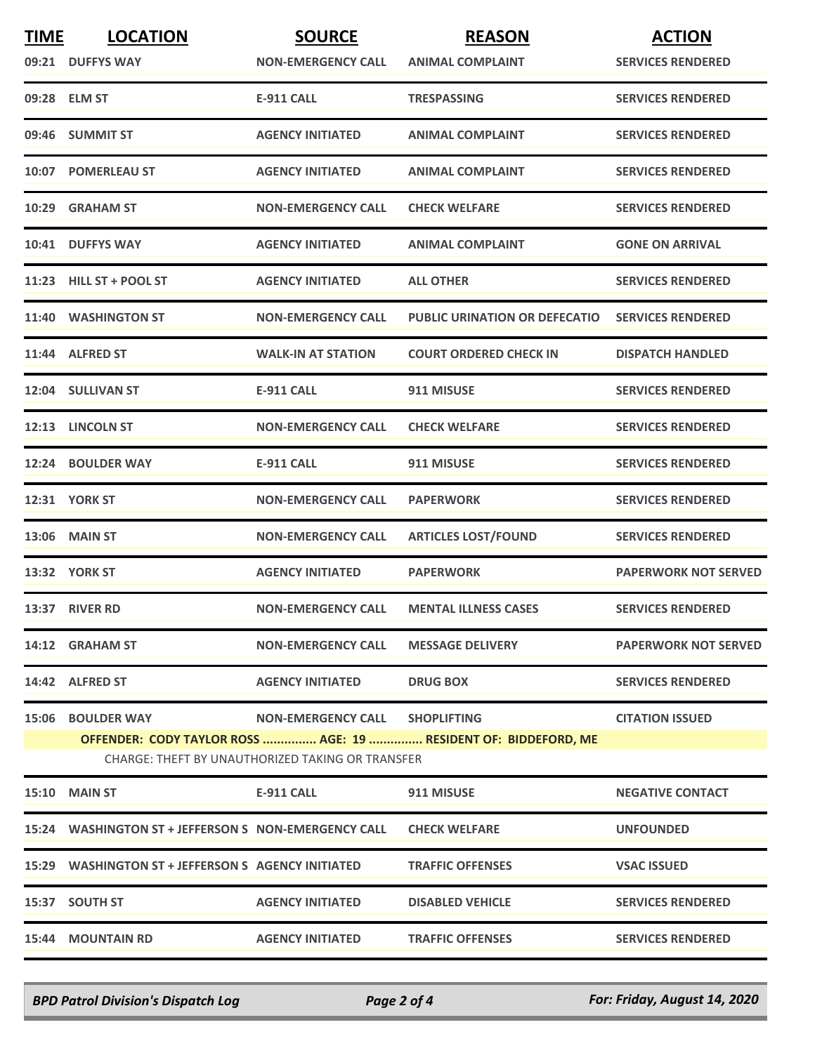| <b>TIME</b>                                                                                                         | <b>LOCATION</b><br>09:21 DUFFYS WAY                  | <b>SOURCE</b><br><b>NON-EMERGENCY CALL</b> | <b>REASON</b><br><b>ANIMAL COMPLAINT</b> | <b>ACTION</b><br><b>SERVICES RENDERED</b> |
|---------------------------------------------------------------------------------------------------------------------|------------------------------------------------------|--------------------------------------------|------------------------------------------|-------------------------------------------|
|                                                                                                                     | 09:28 ELM ST                                         | <b>E-911 CALL</b>                          | <b>TRESPASSING</b>                       | <b>SERVICES RENDERED</b>                  |
|                                                                                                                     |                                                      |                                            |                                          |                                           |
|                                                                                                                     | 09:46 SUMMIT ST                                      | <b>AGENCY INITIATED</b>                    | <b>ANIMAL COMPLAINT</b>                  | <b>SERVICES RENDERED</b>                  |
|                                                                                                                     | 10:07 POMERLEAU ST                                   | <b>AGENCY INITIATED</b>                    | <b>ANIMAL COMPLAINT</b>                  | <b>SERVICES RENDERED</b>                  |
|                                                                                                                     | 10:29 GRAHAM ST                                      | <b>NON-EMERGENCY CALL</b>                  | <b>CHECK WELFARE</b>                     | <b>SERVICES RENDERED</b>                  |
|                                                                                                                     | 10:41 DUFFYS WAY                                     | <b>AGENCY INITIATED</b>                    | <b>ANIMAL COMPLAINT</b>                  | <b>GONE ON ARRIVAL</b>                    |
|                                                                                                                     | 11:23 HILL ST + POOL ST                              | <b>AGENCY INITIATED</b>                    | <b>ALL OTHER</b>                         | <b>SERVICES RENDERED</b>                  |
|                                                                                                                     | 11:40 WASHINGTON ST                                  | <b>NON-EMERGENCY CALL</b>                  | <b>PUBLIC URINATION OR DEFECATIO</b>     | <b>SERVICES RENDERED</b>                  |
|                                                                                                                     | 11:44 ALFRED ST                                      | <b>WALK-IN AT STATION</b>                  | <b>COURT ORDERED CHECK IN</b>            | <b>DISPATCH HANDLED</b>                   |
|                                                                                                                     | 12:04 SULLIVAN ST                                    | <b>E-911 CALL</b>                          | 911 MISUSE                               | <b>SERVICES RENDERED</b>                  |
|                                                                                                                     | 12:13 LINCOLN ST                                     | <b>NON-EMERGENCY CALL</b>                  | <b>CHECK WELFARE</b>                     | <b>SERVICES RENDERED</b>                  |
|                                                                                                                     | 12:24 BOULDER WAY                                    | <b>E-911 CALL</b>                          | 911 MISUSE                               | <b>SERVICES RENDERED</b>                  |
|                                                                                                                     | <b>12:31 YORK ST</b>                                 | <b>NON-EMERGENCY CALL</b>                  | <b>PAPERWORK</b>                         | <b>SERVICES RENDERED</b>                  |
|                                                                                                                     | 13:06 MAIN ST                                        | <b>NON-EMERGENCY CALL</b>                  | <b>ARTICLES LOST/FOUND</b>               | <b>SERVICES RENDERED</b>                  |
|                                                                                                                     | <b>13:32 YORK ST</b>                                 | <b>AGENCY INITIATED</b>                    | <b>PAPERWORK</b>                         | <b>PAPERWORK NOT SERVED</b>               |
|                                                                                                                     | 13:37 RIVER RD                                       | <b>NON-EMERGENCY CALL</b>                  | <b>MENTAL ILLNESS CASES</b>              | <b>SERVICES RENDERED</b>                  |
|                                                                                                                     | 14:12 GRAHAM ST                                      | <b>NON-EMERGENCY CALL</b>                  | <b>MESSAGE DELIVERY</b>                  | <b>PAPERWORK NOT SERVED</b>               |
|                                                                                                                     | 14:42 ALFRED ST                                      | <b>AGENCY INITIATED</b>                    | <b>DRUG BOX</b>                          | <b>SERVICES RENDERED</b>                  |
|                                                                                                                     | <b>15:06 BOULDER WAY</b>                             | NON-EMERGENCY CALL SHOPLIFTING             |                                          | <b>CITATION ISSUED</b>                    |
| OFFENDER: CODY TAYLOR ROSS  AGE: 19  RESIDENT OF: BIDDEFORD, ME<br>CHARGE: THEFT BY UNAUTHORIZED TAKING OR TRANSFER |                                                      |                                            |                                          |                                           |
|                                                                                                                     | <b>15:10 MAIN ST</b>                                 | E-911 CALL                                 | 911 MISUSE                               | <b>NEGATIVE CONTACT</b>                   |
|                                                                                                                     | 15:24 WASHINGTON ST + JEFFERSON S NON-EMERGENCY CALL |                                            | <b>CHECK WELFARE</b>                     | <b>UNFOUNDED</b>                          |
|                                                                                                                     | 15:29 WASHINGTON ST + JEFFERSON S AGENCY INITIATED   |                                            | <b>TRAFFIC OFFENSES</b>                  | <b>VSAC ISSUED</b>                        |
|                                                                                                                     | 15:37 SOUTH ST                                       | <b>AGENCY INITIATED</b>                    | <b>DISABLED VEHICLE</b>                  | <b>SERVICES RENDERED</b>                  |
|                                                                                                                     | <b>15:44 MOUNTAIN RD</b>                             | <b>AGENCY INITIATED</b>                    | <b>TRAFFIC OFFENSES</b>                  | <b>SERVICES RENDERED</b>                  |
|                                                                                                                     |                                                      |                                            |                                          |                                           |

*BPD Patrol Division's Dispatch Log Page 2 of 4 For: Friday, August 14, 2020*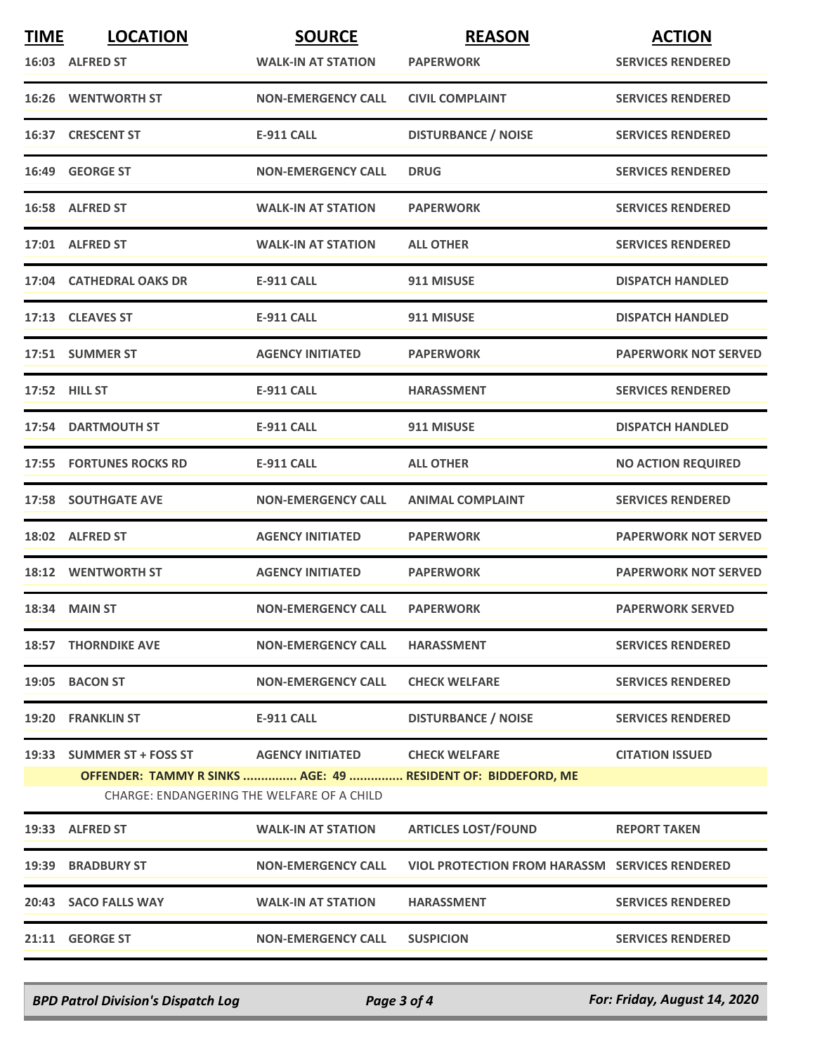| <b>TIME</b> | <b>LOCATION</b>                                                         | <b>SOURCE</b>             | <b>REASON</b>                                                                        | <b>ACTION</b>               |
|-------------|-------------------------------------------------------------------------|---------------------------|--------------------------------------------------------------------------------------|-----------------------------|
|             | 16:03 ALFRED ST                                                         | <b>WALK-IN AT STATION</b> | <b>PAPERWORK</b>                                                                     | <b>SERVICES RENDERED</b>    |
|             | <b>16:26 WENTWORTH ST</b>                                               | <b>NON-EMERGENCY CALL</b> | <b>CIVIL COMPLAINT</b>                                                               | <b>SERVICES RENDERED</b>    |
|             | 16:37 CRESCENT ST                                                       | <b>E-911 CALL</b>         | <b>DISTURBANCE / NOISE</b>                                                           | <b>SERVICES RENDERED</b>    |
|             | 16:49 GEORGE ST                                                         | <b>NON-EMERGENCY CALL</b> | <b>DRUG</b>                                                                          | <b>SERVICES RENDERED</b>    |
|             | 16:58 ALFRED ST                                                         | <b>WALK-IN AT STATION</b> | <b>PAPERWORK</b>                                                                     | <b>SERVICES RENDERED</b>    |
|             | 17:01 ALFRED ST                                                         | <b>WALK-IN AT STATION</b> | <b>ALL OTHER</b>                                                                     | <b>SERVICES RENDERED</b>    |
|             | 17:04 CATHEDRAL OAKS DR                                                 | <b>E-911 CALL</b>         | 911 MISUSE                                                                           | <b>DISPATCH HANDLED</b>     |
|             | 17:13 CLEAVES ST                                                        | <b>E-911 CALL</b>         | 911 MISUSE                                                                           | <b>DISPATCH HANDLED</b>     |
|             | 17:51 SUMMER ST                                                         | <b>AGENCY INITIATED</b>   | <b>PAPERWORK</b>                                                                     | <b>PAPERWORK NOT SERVED</b> |
|             | 17:52 HILL ST                                                           | <b>E-911 CALL</b>         | <b>HARASSMENT</b>                                                                    | <b>SERVICES RENDERED</b>    |
|             | 17:54 DARTMOUTH ST                                                      | E-911 CALL                | 911 MISUSE                                                                           | <b>DISPATCH HANDLED</b>     |
|             | <b>17:55 FORTUNES ROCKS RD</b>                                          | <b>E-911 CALL</b>         | <b>ALL OTHER</b>                                                                     | <b>NO ACTION REQUIRED</b>   |
|             | <b>17:58 SOUTHGATE AVE</b>                                              | <b>NON-EMERGENCY CALL</b> | <b>ANIMAL COMPLAINT</b>                                                              | <b>SERVICES RENDERED</b>    |
|             | 18:02 ALFRED ST                                                         | <b>AGENCY INITIATED</b>   | <b>PAPERWORK</b>                                                                     | <b>PAPERWORK NOT SERVED</b> |
|             | 18:12 WENTWORTH ST                                                      | <b>AGENCY INITIATED</b>   | <b>PAPERWORK</b>                                                                     | <b>PAPERWORK NOT SERVED</b> |
|             | 18:34 MAIN ST                                                           | <b>NON-EMERGENCY CALL</b> | <b>PAPERWORK</b>                                                                     | <b>PAPERWORK SERVED</b>     |
|             | <b>18:57 THORNDIKE AVE</b>                                              | <b>NON-EMERGENCY CALL</b> | <b>HARASSMENT</b>                                                                    | <b>SERVICES RENDERED</b>    |
|             | 19:05 BACON ST                                                          | <b>NON-EMERGENCY CALL</b> | <b>CHECK WELFARE</b>                                                                 | <b>SERVICES RENDERED</b>    |
|             | 19:20 FRANKLIN ST                                                       | <b>E-911 CALL</b>         | <b>DISTURBANCE / NOISE</b>                                                           | <b>SERVICES RENDERED</b>    |
|             | 19:33 SUMMER ST + FOSS ST<br>CHARGE: ENDANGERING THE WELFARE OF A CHILD | <b>AGENCY INITIATED</b>   | <b>CHECK WELFARE</b><br>OFFENDER: TAMMY R SINKS  AGE: 49  RESIDENT OF: BIDDEFORD, ME | <b>CITATION ISSUED</b>      |
|             | 19:33 ALFRED ST                                                         | <b>WALK-IN AT STATION</b> | <b>ARTICLES LOST/FOUND</b>                                                           | <b>REPORT TAKEN</b>         |
|             | 19:39 BRADBURY ST                                                       | <b>NON-EMERGENCY CALL</b> | <b>VIOL PROTECTION FROM HARASSM SERVICES RENDERED</b>                                |                             |
|             | 20:43 SACO FALLS WAY                                                    | <b>WALK-IN AT STATION</b> | <b>HARASSMENT</b>                                                                    | <b>SERVICES RENDERED</b>    |
|             | 21:11 GEORGE ST                                                         | <b>NON-EMERGENCY CALL</b> | <b>SUSPICION</b>                                                                     | <b>SERVICES RENDERED</b>    |
|             |                                                                         |                           |                                                                                      |                             |

*BPD Patrol Division's Dispatch Log Page 3 of 4 For: Friday, August 14, 2020*